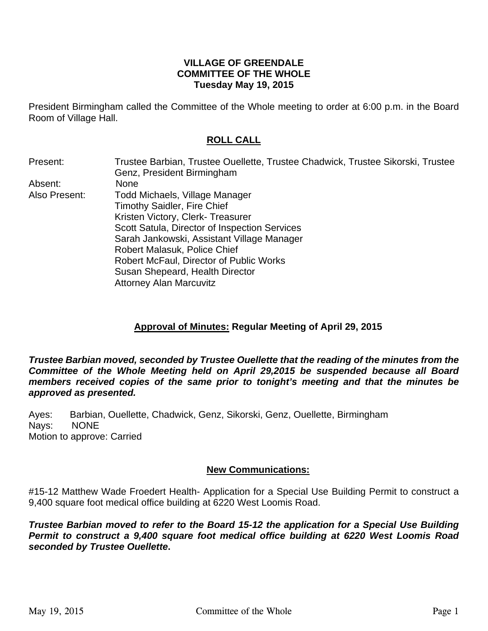## **VILLAGE OF GREENDALE COMMITTEE OF THE WHOLE Tuesday May 19, 2015**

President Birmingham called the Committee of the Whole meeting to order at 6:00 p.m. in the Board Room of Village Hall.

## **ROLL CALL**

| Present:      | Trustee Barbian, Trustee Ouellette, Trustee Chadwick, Trustee Sikorski, Trustee |
|---------------|---------------------------------------------------------------------------------|
|               | Genz, President Birmingham                                                      |
| Absent:       | <b>None</b>                                                                     |
| Also Present: | Todd Michaels, Village Manager                                                  |
|               | <b>Timothy Saidler, Fire Chief</b>                                              |
|               | Kristen Victory, Clerk- Treasurer                                               |
|               | Scott Satula, Director of Inspection Services                                   |
|               | Sarah Jankowski, Assistant Village Manager                                      |
|               | Robert Malasuk, Police Chief                                                    |
|               | Robert McFaul, Director of Public Works                                         |
|               | Susan Shepeard, Health Director                                                 |
|               | <b>Attorney Alan Marcuvitz</b>                                                  |
|               |                                                                                 |

## **Approval of Minutes: Regular Meeting of April 29, 2015**

*Trustee Barbian moved, seconded by Trustee Ouellette that the reading of the minutes from the Committee of the Whole Meeting held on April 29,2015 be suspended because all Board members received copies of the same prior to tonight's meeting and that the minutes be approved as presented.* 

Ayes: Barbian, Ouellette, Chadwick, Genz, Sikorski, Genz, Ouellette, Birmingham Nays: NONE Motion to approve: Carried

## **New Communications:**

#15-12 Matthew Wade Froedert Health- Application for a Special Use Building Permit to construct a 9,400 square foot medical office building at 6220 West Loomis Road.

*Trustee Barbian moved to refer to the Board 15-12 the application for a Special Use Building Permit to construct a 9,400 square foot medical office building at 6220 West Loomis Road seconded by Trustee Ouellette***.**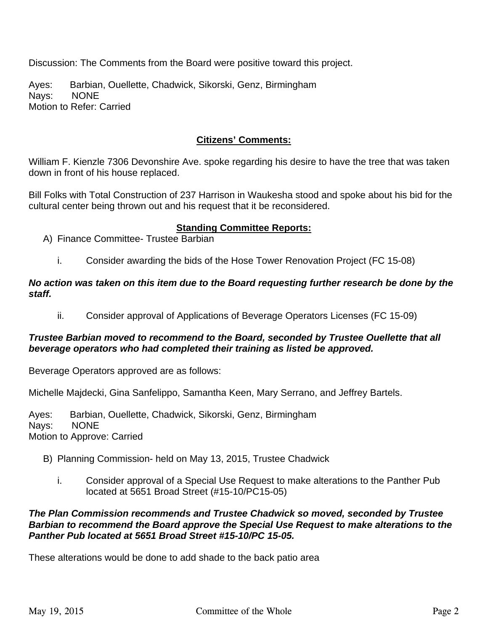Discussion: The Comments from the Board were positive toward this project.

Ayes: Barbian, Ouellette, Chadwick, Sikorski, Genz, Birmingham Nays: NONE Motion to Refer: Carried

## **Citizens' Comments:**

William F. Kienzle 7306 Devonshire Ave. spoke regarding his desire to have the tree that was taken down in front of his house replaced.

Bill Folks with Total Construction of 237 Harrison in Waukesha stood and spoke about his bid for the cultural center being thrown out and his request that it be reconsidered.

## **Standing Committee Reports:**

- A) Finance Committee- Trustee Barbian
	- i. Consider awarding the bids of the Hose Tower Renovation Project (FC 15-08)

#### *No action was taken on this item due to the Board requesting further research be done by the staff.*

ii. Consider approval of Applications of Beverage Operators Licenses (FC 15-09)

## *Trustee Barbian moved to recommend to the Board, seconded by Trustee Ouellette that all beverage operators who had completed their training as listed be approved.*

Beverage Operators approved are as follows:

Michelle Majdecki, Gina Sanfelippo, Samantha Keen, Mary Serrano, and Jeffrey Bartels.

Ayes: Barbian, Ouellette, Chadwick, Sikorski, Genz, Birmingham Nays: NONE Motion to Approve: Carried

- B) Planning Commission- held on May 13, 2015, Trustee Chadwick
	- i. Consider approval of a Special Use Request to make alterations to the Panther Pub located at 5651 Broad Street (#15-10/PC15-05)

## *The Plan Commission recommends and Trustee Chadwick so moved, seconded by Trustee Barbian to recommend the Board approve the Special Use Request to make alterations to the Panther Pub located at 5651 Broad Street #15-10/PC 15-05.*

These alterations would be done to add shade to the back patio area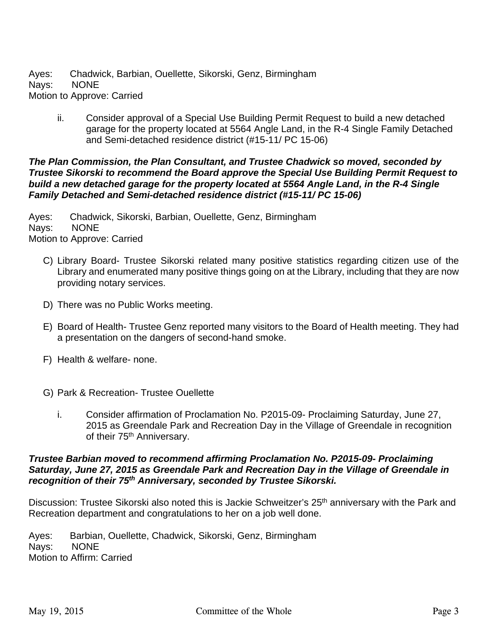Ayes: Chadwick, Barbian, Ouellette, Sikorski, Genz, Birmingham Nays: NONE Motion to Approve: Carried

ii. Consider approval of a Special Use Building Permit Request to build a new detached garage for the property located at 5564 Angle Land, in the R-4 Single Family Detached and Semi-detached residence district (#15-11/ PC 15-06)

## *The Plan Commission, the Plan Consultant, and Trustee Chadwick so moved, seconded by Trustee Sikorski to recommend the Board approve the Special Use Building Permit Request to build a new detached garage for the property located at 5564 Angle Land, in the R-4 Single Family Detached and Semi-detached residence district (#15-11/ PC 15-06)*

Ayes: Chadwick, Sikorski, Barbian, Ouellette, Genz, Birmingham Nays: NONE Motion to Approve: Carried

- C) Library Board- Trustee Sikorski related many positive statistics regarding citizen use of the Library and enumerated many positive things going on at the Library, including that they are now providing notary services.
- D) There was no Public Works meeting.
- E) Board of Health- Trustee Genz reported many visitors to the Board of Health meeting. They had a presentation on the dangers of second-hand smoke.
- F) Health & welfare- none.
- G) Park & Recreation- Trustee Ouellette
	- i. Consider affirmation of Proclamation No. P2015-09- Proclaiming Saturday, June 27, 2015 as Greendale Park and Recreation Day in the Village of Greendale in recognition of their 75<sup>th</sup> Anniversary.

### *Trustee Barbian moved to recommend affirming Proclamation No. P2015-09- Proclaiming Saturday, June 27, 2015 as Greendale Park and Recreation Day in the Village of Greendale in recognition of their 75th Anniversary, seconded by Trustee Sikorski.*

Discussion: Trustee Sikorski also noted this is Jackie Schweitzer's 25<sup>th</sup> anniversary with the Park and Recreation department and congratulations to her on a job well done.

Ayes: Barbian, Ouellette, Chadwick, Sikorski, Genz, Birmingham Nays: NONE Motion to Affirm: Carried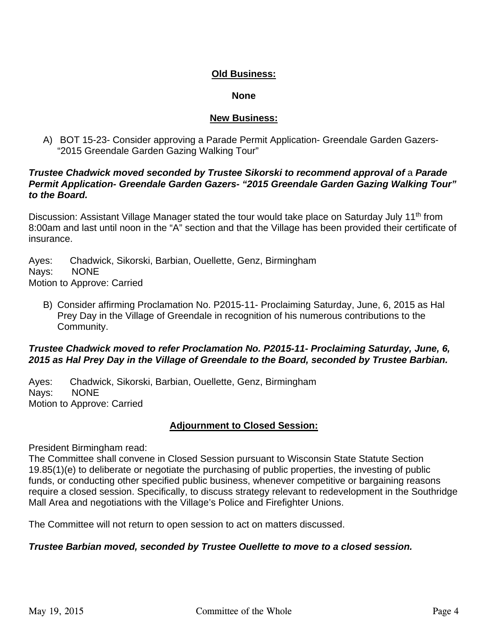## **Old Business:**

#### **None**

### **New Business:**

A) BOT 15-23- Consider approving a Parade Permit Application- Greendale Garden Gazers- "2015 Greendale Garden Gazing Walking Tour"

## **Trustee Chadwick moved seconded by Trustee Sikorski to recommend approval of a Parade** *Permit Application- Greendale Garden Gazers- "2015 Greendale Garden Gazing Walking Tour" to the Board.*

Discussion: Assistant Village Manager stated the tour would take place on Saturday July 11<sup>th</sup> from 8:00am and last until noon in the "A" section and that the Village has been provided their certificate of insurance.

Ayes: Chadwick, Sikorski, Barbian, Ouellette, Genz, Birmingham Nays: NONE Motion to Approve: Carried

B) Consider affirming Proclamation No. P2015-11- Proclaiming Saturday, June, 6, 2015 as Hal Prey Day in the Village of Greendale in recognition of his numerous contributions to the Community.

## *Trustee Chadwick moved to refer Proclamation No. P2015-11- Proclaiming Saturday, June, 6, 2015 as Hal Prey Day in the Village of Greendale to the Board, seconded by Trustee Barbian.*

Ayes: Chadwick, Sikorski, Barbian, Ouellette, Genz, Birmingham Nays: NONE Motion to Approve: Carried

## **Adjournment to Closed Session:**

President Birmingham read:

The Committee shall convene in Closed Session pursuant to Wisconsin State Statute Section 19.85(1)(e) to deliberate or negotiate the purchasing of public properties, the investing of public funds, or conducting other specified public business, whenever competitive or bargaining reasons require a closed session. Specifically, to discuss strategy relevant to redevelopment in the Southridge Mall Area and negotiations with the Village's Police and Firefighter Unions.

The Committee will not return to open session to act on matters discussed.

## *Trustee Barbian moved, seconded by Trustee Ouellette to move to a closed session.*